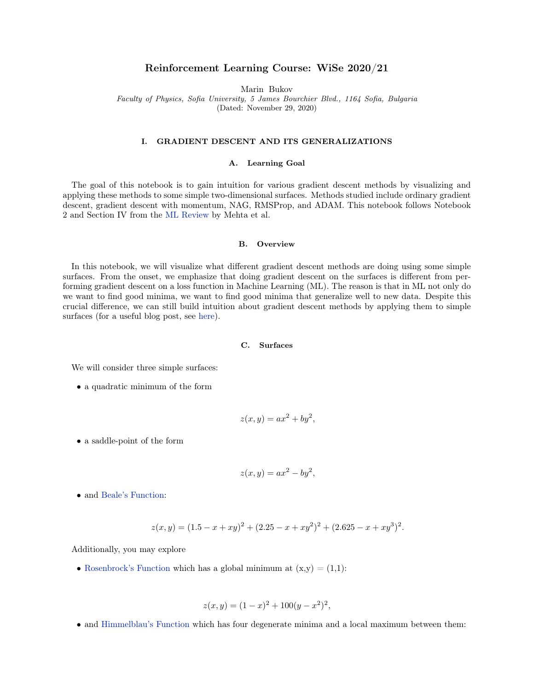# Reinforcement Learning Course: WiSe 2020/21

Marin Bukov

Faculty of Physics, Sofia University, 5 James Bourchier Blvd., 1164 Sofia, Bulgaria

(Dated: November 29, 2020)

## I. GRADIENT DESCENT AND ITS GENERALIZATIONS

# A. Learning Goal

The goal of this notebook is to gain intuition for various gradient descent methods by visualizing and applying these methods to some simple two-dimensional surfaces. Methods studied include ordinary gradient descent, gradient descent with momentum, NAG, RMSProp, and ADAM. This notebook follows Notebook 2 and Section IV from the [ML Review](http://physics.bu.edu/~pankajm/MLnotebooks.html) by Mehta et al.

## B. Overview

In this notebook, we will visualize what different gradient descent methods are doing using some simple surfaces. From the onset, we emphasize that doing gradient descent on the surfaces is different from performing gradient descent on a loss function in Machine Learning (ML). The reason is that in ML not only do we want to find good minima, we want to find good minima that generalize well to new data. Despite this crucial difference, we can still build intuition about gradient descent methods by applying them to simple surfaces (for a useful blog post, see [here\)](http://ruder.io/optimizing-gradient-descent/).

## C. Surfaces

We will consider three simple surfaces:

• a quadratic minimum of the form

$$
z(x, y) = ax^2 + by^2,
$$

• a saddle-point of the form

$$
z(x, y) = ax^2 - by^2,
$$

• and [Beale's Function:](https://en.wikipedia.org/wiki/Test_functions_for_optimization)

$$
z(x, y) = (1.5 - x + xy)^2 + (2.25 - x + xy^2)^2 + (2.625 - x + xy^3)^2.
$$

Additionally, you may explore

• [Rosenbrock's Function](https://en.wikipedia.org/wiki/Test_functions_for_optimization) which has a global minimum at  $(x,y) = (1,1)$ :

$$
z(x, y) = (1 - x)^2 + 100(y - x^2)^2,
$$

• and [Himmelblau's Function](https://en.wikipedia.org/wiki/Test_functions_for_optimization) which has four degenerate minima and a local maximum between them: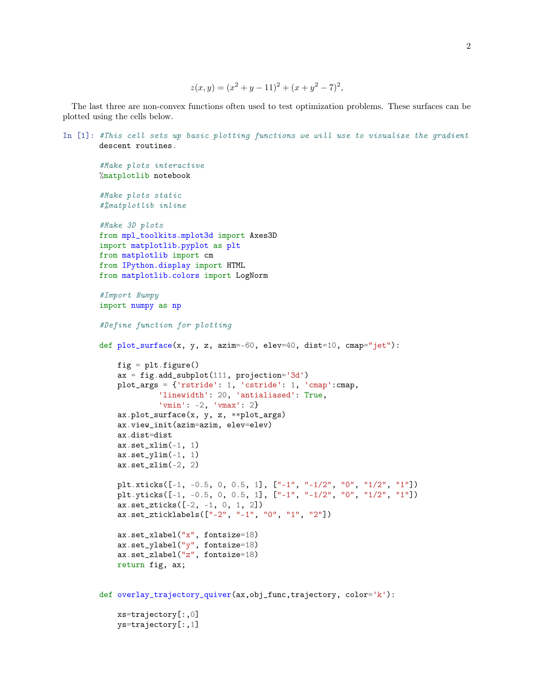```
z(x, y) = (x^{2} + y - 11)^{2} + (x + y^{2} - 7)^{2},
```
The last three are non-convex functions often used to test optimization problems. These surfaces can be plotted using the cells below.

```
In [1]: #This cell sets up basic plotting functions we will use to visualize the gradient
       descent routines.
        #Make plots interactive
        %matplotlib notebook
        #Make plots static
        #%matplotlib inline
        #Make 3D plots
        from mpl_toolkits.mplot3d import Axes3D
        import matplotlib.pyplot as plt
        from matplotlib import cm
        from IPython.display import HTML
        from matplotlib.colors import LogNorm
        #Import Numpy
        import numpy as np
        #Define function for plotting
        def plot\_surface(x, y, z, azim=-60, elev=40, dist=10, canap='jet'):
            fig = plt.figure()ax = fig.add\_subplot(111, projection='3d')plot_args = {'rstride': 1, 'cstride': 1, 'cmap':cmap,
                     'linewidth': 20, 'antialiased': True,
                     'vmin': -2, 'vmax': 2}
            ax.plot_surface(x, y, z, **plot_args)
            ax.view_init(azim=azim, elev=elev)
            ax.dist=dist
            ax.set_xlim(-1, 1)ax.set_ylim(-1, 1)ax.set_zlim(-2, 2)plt.xticks([-1, -0.5, 0, 0.5, 1], ["-1", "-1/2", "0", "1/2", "1"])
           plt.yticks([-1, -0.5, 0, 0.5, 1], ["-1", "-1/2", "0", "1/2", "1"])
            ax.set_zticks([-2, -1, 0, 1, 2])
            ax.set_zticklabels(["-2", "-1", "0", "1", "2"])
            ax.set_xlabel("x", fontsize=18)
            ax.set_ylabel("y", fontsize=18)
            ax.set_zlabel("z", fontsize=18)
            return fig, ax;
        def overlay_trajectory_quiver(ax,obj_func,trajectory, color='k'):
           xs=trajectory[:,0]
```

```
ys=trajectory[:,1]
```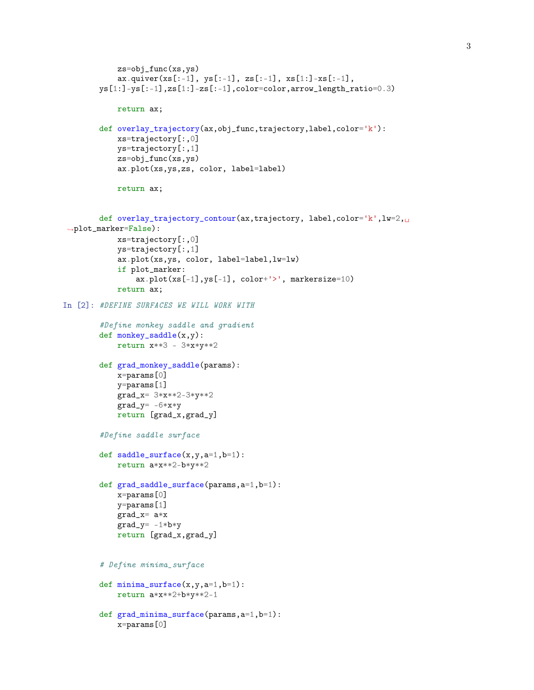```
zs=obj_func(xs,ys)
            ax.quiver(xs[:-1], ys[-1], zs[-1], xs[1:]-xs[:-1],
        ys[1:] -ys[-1], zs[1:] -zs[-1], color=color,arrow.length\_ratio=0.3)return ax;
        def overlay_trajectory(ax,obj_func,trajectory,label,color='k'):
            xs=trajectory[:,0]
            ys=trajectory[:,1]
            zs=obj_func(xs,ys)
            ax.plot(xs,ys,zs, color, label=label)
            return ax;
        def overlay_trajectory_contour(ax,trajectory, label,color='k', lw=2,\mu,→plot_marker=False):
            xs=trajectory[:,0]
            ys=trajectory[:,1]
            ax.plot(xs,ys, color, label=label,lw=lw)
            if plot_marker:
                ax.plot(xs[-1],ys[-1], color+'>', markersize=10)return ax;
In [2]: #DEFINE SURFACES WE WILL WORK WITH
        #Define monkey saddle and gradient
        def monkey_saddle(x,y):
            return x**3 - 3*x*y**2
        def grad_monkey_saddle(params):
           x=params[0]
            y=params[1]
            grad_x= 3*x**2-3*y**2
            grad_y = -6*xyreturn [grad_x,grad_y]
        #Define saddle surface
        def saddle_surface(x,y,a=1,b=1):
            return a*x**2-b*y**2
        def grad_saddle_surface(params,a=1,b=1):
            x=params[0]
            y=params[1]
            grad_x= a*x
            grad_y = -1 * b * yreturn [grad_x,grad_y]
        # Define minima_surface
        def minima_surface(x,y,a=1,b=1):
            return a*x**2+b*y**2-1
        def grad_minima_surface(params,a=1,b=1):
            x=params[0]
```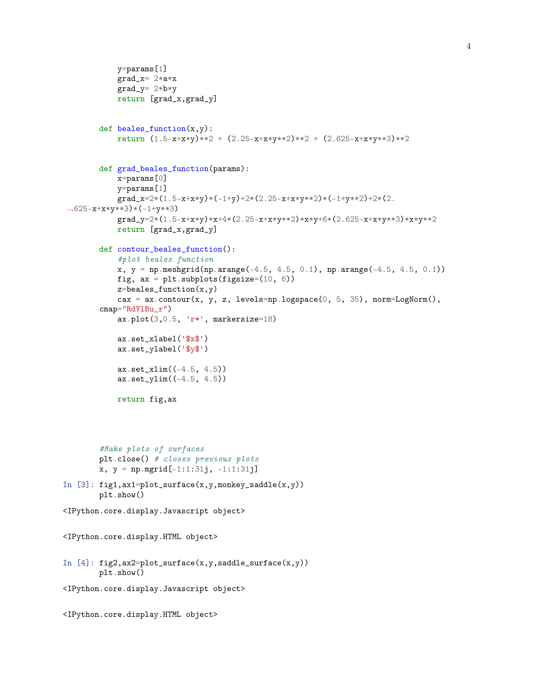```
y=params[1]
           grad_x= 2*a*x
           grad_y= 2*b*y
           return [grad_x,grad_y]
        def beales_function(x,y):
           return (1.5-x+x*y)**2 + (2.25-x+x*y**2)**2 + (2.625-x+x*y**3)**2
        def grad_beales_function(params):
           x=params[0]
            y=params[1]
           grad_x=2*(1.5-x+x*y)*(-1+y)+2*(2.25-x+x*y*x2)*(-1+y*x2)+2*(2.\rightarrow 625-x+x*y**3)*(-1+y**3)grad_y=2*(1.5-x+x*y)*x+4*(2.25-x+x*y**2)*x*y+6*(2.625-x+x*y**3)*x*y**2
            return [grad_x,grad_y]
        def contour_beales_function():
           #plot beales function
           x, y = np.meshgrid(np.arange(-4.5, 4.5, 0.1), np.arange(-4.5, 4.5, 0.1))
           fig, ax = plt.subplots(figsize=(10, 6))z = beales_function(x, y)cax = ax.contour(x, y, z, levels=np.logspace(0, 5, 35), norm=LogNorm(),
        cmap="RdYlBu_r")
           ax.plot(3,0.5, 'r*', markersize=18)ax.set_xlabel('$x$')
           ax.set_ylabel('$y$')
            ax.set_xlim((-4.5, 4.5))ax.set_ylim((-4.5, 4.5))
           return fig,ax
        #Make plots of surfaces
       plt.close() # closes previous plots
        x, y = np.mgrid[-1:1:31j, -1:1:31j]In [3]: fig1,ax1=plot_surface(x,y,monkey_saddle(x,y))
       plt.show()
<IPython.core.display.Javascript object>
<IPython.core.display.HTML object>
In [4]: fig2,ax2=plot_surface(x,y,saddle_surface(x,y))
       plt.show()
<IPython.core.display.Javascript object>
<IPython.core.display.HTML object>
```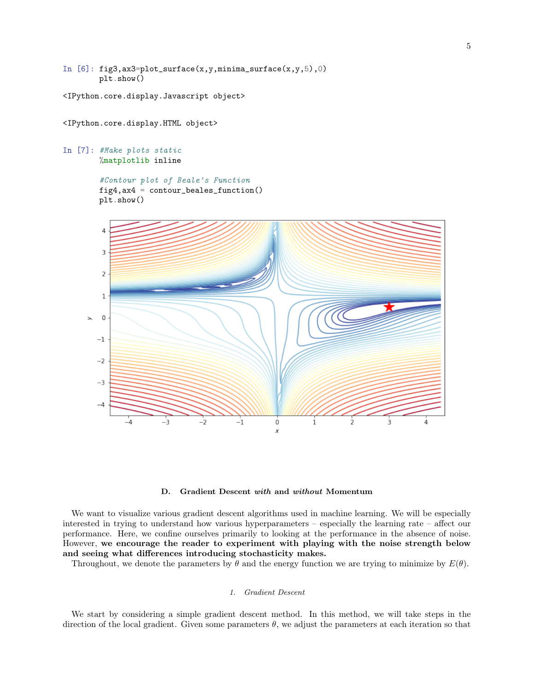In  $[6]$ : fig3, ax3=plot\_surface(x, y, minima\_surface(x, y, 5), 0) plt.show()

<IPython.core.display.Javascript object>

<IPython.core.display.HTML object>

In [7]: #Make plots static %matplotlib inline

```
#Contour plot of Beale's Function
fig4,ax4 = contour_beales_function()
plt.show()
```


D. Gradient Descent with and without Momentum

We want to visualize various gradient descent algorithms used in machine learning. We will be especially interested in trying to understand how various hyperparameters – especially the learning rate – affect our performance. Here, we confine ourselves primarily to looking at the performance in the absence of noise. However, we encourage the reader to experiment with playing with the noise strength below and seeing what differences introducing stochasticity makes.

Throughout, we denote the parameters by  $\theta$  and the energy function we are trying to minimize by  $E(\theta)$ .

## 1. Gradient Descent

We start by considering a simple gradient descent method. In this method, we will take steps in the direction of the local gradient. Given some parameters  $\theta$ , we adjust the parameters at each iteration so that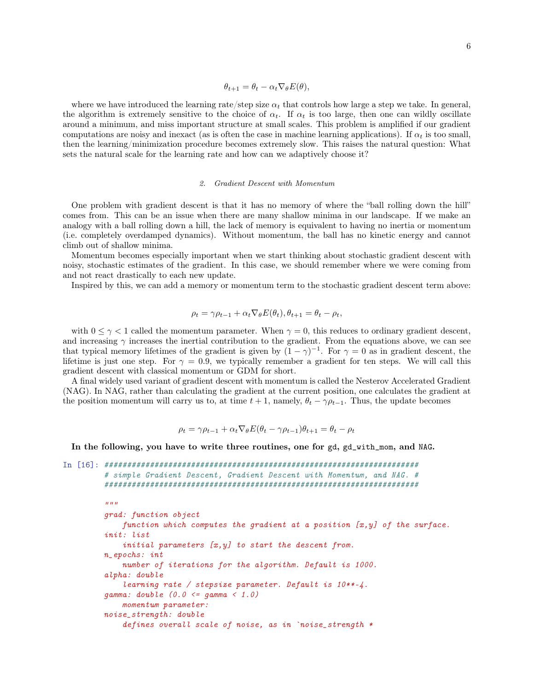where we have introduced the learning rate/step size  $\alpha_t$  that controls how large a step we take. In general, the algorithm is extremely sensitive to the choice of  $\alpha_t$ . If  $\alpha_t$  is too large, then one can wildly oscillate around a minimum, and miss important structure at small scales. This problem is amplified if our gradient computations are noisy and inexact (as is often the case in machine learning applications). If  $\alpha_t$  is too small, then the learning/minimization procedure becomes extremely slow. This raises the natural question: What sets the natural scale for the learning rate and how can we adaptively choose it?

#### 2. Gradient Descent with Momentum

One problem with gradient descent is that it has no memory of where the "ball rolling down the hill" comes from. This can be an issue when there are many shallow minima in our landscape. If we make an analogy with a ball rolling down a hill, the lack of memory is equivalent to having no inertia or momentum (i.e. completely overdamped dynamics). Without momentum, the ball has no kinetic energy and cannot climb out of shallow minima.

Momentum becomes especially important when we start thinking about stochastic gradient descent with noisy, stochastic estimates of the gradient. In this case, we should remember where we were coming from and not react drastically to each new update.

Inspired by this, we can add a memory or momentum term to the stochastic gradient descent term above:

$$
\rho_t = \gamma \rho_{t-1} + \alpha_t \nabla_{\theta} E(\theta_t), \theta_{t+1} = \theta_t - \rho_t,
$$

with  $0 \leq \gamma < 1$  called the momentum parameter. When  $\gamma = 0$ , this reduces to ordinary gradient descent, and increasing  $\gamma$  increases the inertial contribution to the gradient. From the equations above, we can see that typical memory lifetimes of the gradient is given by  $(1 - \gamma)^{-1}$ . For  $\gamma = 0$  as in gradient descent, the lifetime is just one step. For  $\gamma = 0.9$ , we typically remember a gradient for ten steps. We will call this gradient descent with classical momentum or GDM for short.

A final widely used variant of gradient descent with momentum is called the Nesterov Accelerated Gradient (NAG). In NAG, rather than calculating the gradient at the current position, one calculates the gradient at the position momentum will carry us to, at time  $t + 1$ , namely,  $\theta_t - \gamma \rho_{t-1}$ . Thus, the update becomes

$$
\rho_t = \gamma \rho_{t-1} + \alpha_t \nabla_{\theta} E(\theta_t - \gamma \rho_{t-1}) \theta_{t+1} = \theta_t - \rho_t
$$

In the following, you have to write three routines, one for gd, gd\_with\_mom, and NAG.

```
In [16]: #####################################################################
         # simple Gradient Descent, Gradient Descent with Momentum, and NAG. #
         #####################################################################
         "''"grad: function object
             function which computes the gradient at a position [x, y] of the surface.
         init: list
             initial parameters [x,y] to start the descent from.
         n_epochs: int
             number of iterations for the algorithm. Default is 1000.
         alpha: double
             learning rate / stepsize parameter. Default is 10**-4.
         gamma: double (0.0 <= gamma < 1.0)
             momentum parameter:
         noise_strength: double
             defines overall scale of noise, as in `noise_strength *
```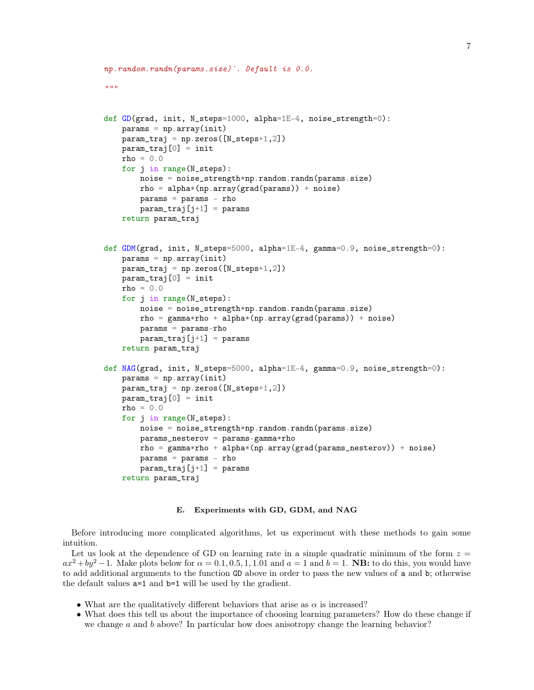```
np.random.randn(params.size)`. Default is 0.0.
"''"def GD(grad, init, N_steps=1000, alpha=1E-4, noise_strength=0):
   params = np.array(int)param_traj = np.zeros([N_steps+1,2])
   param_train[0] = initrho = 0.0for j in range(N_steps):
        noise = noise_strength*np.random.randn(params.size)
        rho = alpha * (np.array(grad(params)) + noise)params = params - rho
        param_train[j+1] = paramsreturn param_traj
def GDM(grad, init, N_steps=5000, alpha=1E-4, gamma=0.9, noise_strength=0):
   params = np.array(init)
   param_train = np.zeros([N_steps+1,2])param_traj[0] = init
   rho = 0.0for j in range(N_steps):
        noise = noise_strength*np.random.randn(params.size)
        rho = gamma *rho + alpha * (np.array(grad(params)) + noise)params = params-rho
       param_train = params
   return param_traj
def NAG(grad, init, N_steps=5000, alpha=1E-4, gamma=0.9, noise_strength=0):
   params = np.array(init)
   param_train = np.zeros([N_steps+1,2])param_train[0] = initrho = 0.0for j in range(N_steps):
        noise = noise_strength*np.random.randn(params.size)
        params_nesterov = params-gamma*rho
        rho = gamma*rho + alpha*(np.array(grad(params_nesterov)) + noise)
        params = params - rho
       param_train[i+1] = paramsreturn param_traj
```
#### E. Experiments with GD, GDM, and NAG

Before introducing more complicated algorithms, let us experiment with these methods to gain some intuition.

Let us look at the dependence of GD on learning rate in a simple quadratic minimum of the form  $z =$  $ax^2 + by^2 - 1$ . Make plots below for  $\alpha = 0.1, 0.5, 1, 1.01$  and  $a = 1$  and  $b = 1$ . **NB:** to do this, you would have to add additional arguments to the function GD above in order to pass the new values of a and b; otherwise the default values a=1 and b=1 will be used by the gradient.

- What are the qualitatively different behaviors that arise as  $\alpha$  is increased?
- What does this tell us about the importance of choosing learning parameters? How do these change if we change  $a$  and  $b$  above? In particular how does anisotropy change the learning behavior?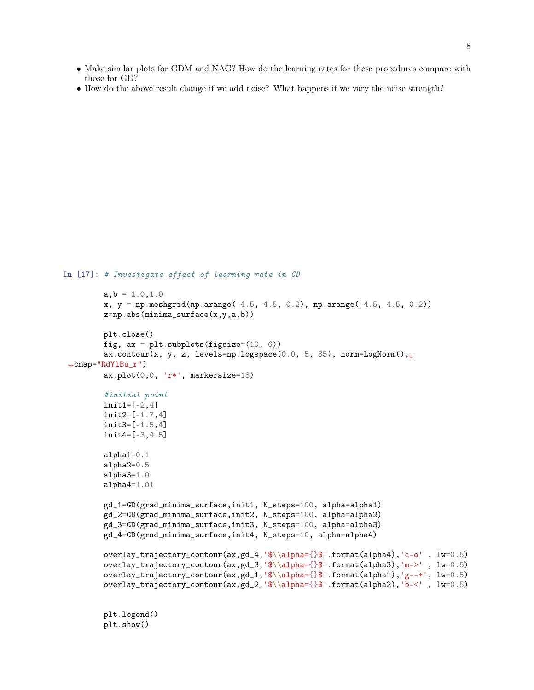- Make similar plots for GDM and NAG? How do the learning rates for these procedures compare with those for GD?
- How do the above result change if we add noise? What happens if we vary the noise strength?

```
In [17]: # Investigate effect of learning rate in GD
```

```
a, b = 1.0, 1.0x, y = np.meshgrid(np.arange(-4.5, 4.5, 0.2), np.arange(-4.5, 4.5, 0.2))
        z=np.abs(minima_surface(x,y,a,b))plt.close()
       fig, ax = plt.subplots(figsize=(10, 6))ax.contour(x, y, z, levels=np.logspace(0.0, 5, 35), norm=LogNorm(),\Box\rightarrowcmap="RdYlBu_r")
       ax.plot(0,0, 'r*', markersize=18)#initial point
        init1=[-2,4]init2=[-1.7,4]
        init3=[-1.5,4]
        init4=[-3,4.5]
        alpha1=0.1
        alpha2=0.5
        alpha3=1.0
        alpha4=1.01
        gd_1=GD(grad_minima_surface,init1, N_steps=100, alpha=alpha1)
        gd_2=GD(grad_minima_surface,init2, N_steps=100, alpha=alpha2)
        gd_3=GD(grad_minima_surface,init3, N_steps=100, alpha=alpha3)
        gd_4=GD(grad_minima_surface,init4, N_steps=10, alpha=alpha4)
        overlay_trajectory_contour(ax,gd_4,'$\\alpha={}$'.format(alpha4),'c-o' , lw=0.5)
        overlay_trajectory_contour(ax,gd_3,'$\\alpha={}$'.format(alpha3),'m->' , lw=0.5)
        overlay_trajectory_contour(ax,gd_1,'$\\alpha={}$'.format(alpha1),'g--*', lw=0.5)
        overlay_trajectory_contour(ax,gd_2,'$\\alpha={}$'.format(alpha2),'b-<' , lw=0.5)
```
plt.legend() plt.show()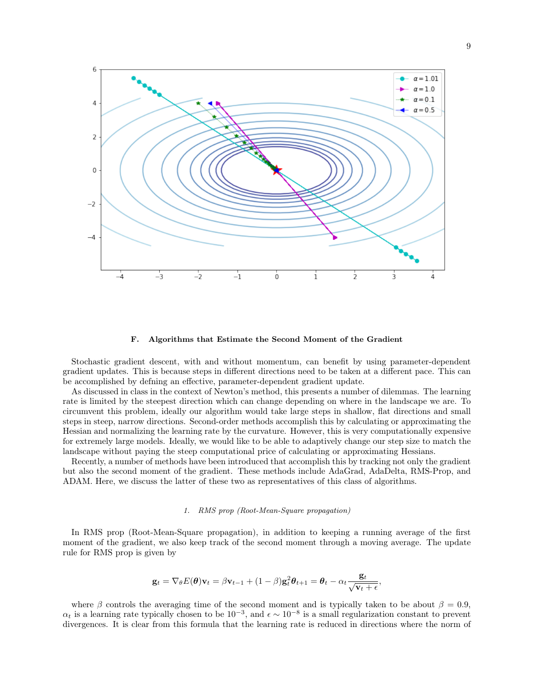

## F. Algorithms that Estimate the Second Moment of the Gradient

Stochastic gradient descent, with and without momentum, can benefit by using parameter-dependent gradient updates. This is because steps in different directions need to be taken at a different pace. This can be accomplished by defning an effective, parameter-dependent gradient update.

As discussed in class in the context of Newton's method, this presents a number of dilemmas. The learning rate is limited by the steepest direction which can change depending on where in the landscape we are. To circumvent this problem, ideally our algorithm would take large steps in shallow, flat directions and small steps in steep, narrow directions. Second-order methods accomplish this by calculating or approximating the Hessian and normalizing the learning rate by the curvature. However, this is very computationally expensive for extremely large models. Ideally, we would like to be able to adaptively change our step size to match the landscape without paying the steep computational price of calculating or approximating Hessians.

Recently, a number of methods have been introduced that accomplish this by tracking not only the gradient but also the second moment of the gradient. These methods include AdaGrad, AdaDelta, RMS-Prop, and ADAM. Here, we discuss the latter of these two as representatives of this class of algorithms.

#### 1. RMS prop (Root-Mean-Square propagation)

In RMS prop (Root-Mean-Square propagation), in addition to keeping a running average of the first moment of the gradient, we also keep track of the second moment through a moving average. The update rule for RMS prop is given by

$$
\mathbf{g}_t = \nabla_{\theta} E(\boldsymbol{\theta}) \mathbf{v}_t = \beta \mathbf{v}_{t-1} + (1 - \beta) \mathbf{g}_t^2 \boldsymbol{\theta}_{t+1} = \boldsymbol{\theta}_t - \alpha_t \frac{\mathbf{g}_t}{\sqrt{\mathbf{v}_t + \epsilon}},
$$

where β controls the averaging time of the second moment and is typically taken to be about  $\beta = 0.9$ ,  $\alpha_t$  is a learning rate typically chosen to be  $10^{-3}$ , and  $\epsilon \sim 10^{-8}$  is a small regularization constant to prevent divergences. It is clear from this formula that the learning rate is reduced in directions where the norm of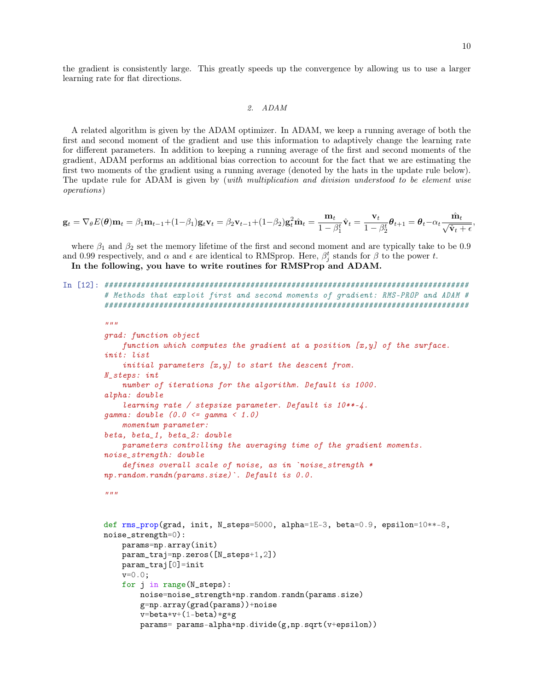,

the gradient is consistently large. This greatly speeds up the convergence by allowing us to use a larger learning rate for flat directions.

### 2. ADAM

A related algorithm is given by the ADAM optimizer. In ADAM, we keep a running average of both the first and second moment of the gradient and use this information to adaptively change the learning rate for different parameters. In addition to keeping a running average of the first and second moments of the gradient, ADAM performs an additional bias correction to account for the fact that we are estimating the first two moments of the gradient using a running average (denoted by the hats in the update rule below). The update rule for ADAM is given by (with multiplication and division understood to be element wise operations)

$$
\mathbf{g}_t = \nabla_{\theta} E(\theta) \mathbf{m}_t = \beta_1 \mathbf{m}_{t-1} + (1 - \beta_1) \mathbf{g}_t \mathbf{v}_t = \beta_2 \mathbf{v}_{t-1} + (1 - \beta_2) \mathbf{g}_t^2 \hat{\mathbf{m}}_t = \frac{\mathbf{m}_t}{1 - \beta_1^t} \hat{\mathbf{v}}_t = \frac{\mathbf{v}_t}{1 - \beta_2^t} \theta_{t+1} = \theta_t - \alpha_t \frac{\hat{\mathbf{m}}_t}{\sqrt{\hat{\mathbf{v}}_t + \epsilon}}
$$

where  $\beta_1$  and  $\beta_2$  set the memory lifetime of the first and second moment and are typically take to be 0.9 and 0.99 respectively, and  $\alpha$  and  $\epsilon$  are identical to RMSprop. Here,  $\beta_j^t$  stands for  $\beta$  to the power t. In the following, you have to write routines for RMSProp and ADAM.

```
In [12]: ################################################################################
         # Methods that exploit first and second moments of gradient: RMS-PROP and ADAM #
         ################################################################################
         "''"grad: function object
             function which computes the gradient at a position [x,y] of the surface.
         init: list
             initial parameters [x,y] to start the descent from.
         N_steps: int
             number of iterations for the algorithm. Default is 1000.
         alpha: double
             learning rate / stepsize parameter. Default is 10**-4.
         gamma: double (0.0 \leq g \leq g)momentum parameter:
         beta, beta_1, beta_2: double
             parameters controlling the averaging time of the gradient moments.
         noise_strength: double
             defines overall scale of noise, as in `noise_strength *
         np.random.randn(params.size)`. Default is 0.0.
         "''"def rms_prop(grad, init, N_steps=5000, alpha=1E-3, beta=0.9, epsilon=10**-8,
         noise_strength=0):
             params=np.array(init)
             param_traj=np.zeros([N_steps+1,2])
             param_traj[0]=init
             v=0.0;
             for j in range(N_steps):
                 noise=noise_strength*np.random.randn(params.size)
                 g=np.array(grad(params))+noise
                 v=beta* v+(1-beta)*gx*g
```
params= params-alpha\*np.divide(g,np.sqrt(v+epsilon))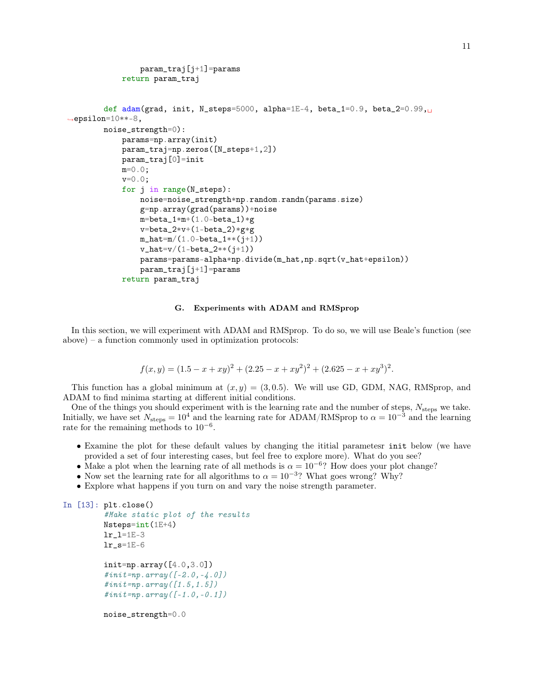```
param_traj[j+1]=params
            return param_traj
        def adam(grad, init, N_steps=5000, alpha=1E-4, beta_1=0.9, beta_2=0.99,\Box,→epsilon=10**-8,
        noise_strength=0):
            params=np.array(init)
            param_traj=np.zeros([N_steps+1,2])
            param_traj[0]=init
            m=0.0;
            v=0.0;
            for j in range(N_steps):
                 noise=noise_strength*np.random.randn(params.size)
                 g=np.array(grad(params))+noise
                 m = beta_1 * m + (1.0 - beta_1) * gv = beta_2 * v + (1 - beta_2) * g * gm_{h}at=m/(1.0-beta_{1}**(j+1))
                 v_{\text{}hat=v/(1-beta_{\text{}2}**(j+1))params=params-alpha*np.divide(m_hat,np.sqrt(v_hat+epsilon))
                 param_traj[j+1]=params
            return param_traj
```
## G. Experiments with ADAM and RMSprop

In this section, we will experiment with ADAM and RMSprop. To do so, we will use Beale's function (see above) – a function commonly used in optimization protocols:

$$
f(x,y) = (1.5 - x + xy)^{2} + (2.25 - x + xy^{2})^{2} + (2.625 - x + xy^{3})^{2}.
$$

This function has a global minimum at  $(x, y) = (3, 0.5)$ . We will use GD, GDM, NAG, RMSprop, and ADAM to find minima starting at different initial conditions.

One of the things you should experiment with is the learning rate and the number of steps,  $N_{\text{steps}}$  we take. Initially, we have set  $N_{\text{steps}} = 10^4$  and the learning rate for ADAM/RMSprop to  $\alpha = 10^{-3}$  and the learning rate for the remaining methods to  $10^{-6}$ .

- Examine the plot for these default values by changing the ititial parametesr init below (we have provided a set of four interesting cases, but feel free to explore more). What do you see?
- Make a plot when the learning rate of all methods is  $\alpha = 10^{-6}$ ? How does your plot change?
- Now set the learning rate for all algorithms to  $\alpha = 10^{-3}$ ? What goes wrong? Why?
- Explore what happens if you turn on and vary the noise strength parameter.

```
In [13]: plt.close()
          #Make static plot of the results
          Nsteps=int(1E+4)
          lr_l=1E-3
          lr_s = 1E-6init=np.array([4.0,3.0])
          \#init = np \cdot array([ -2.0, -4.0])\#init = np \cdot array([1.5, 1.5])\#init = np \cdot array([ -1.0, -0.1])noise_strength=0.0
```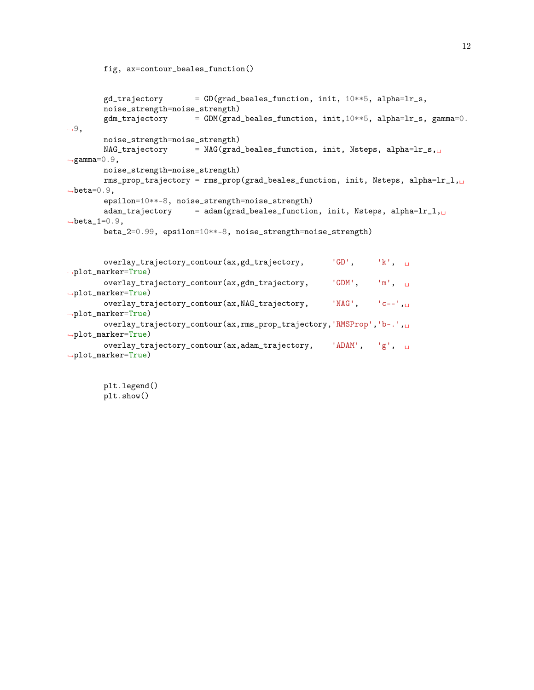```
gd\_trajectory = GD(grad\_beales_function, init, 10**5, alpha=lr_s,noise_strength=noise_strength)
        gdm\_trajectory = GDM(grad_beales_function, init,10**5, alpha=lr_s, gamma=0.
\rightarrow9,
        noise_strength=noise_strength)
        NAG\_trajectory = NAG(grad_beales_function, init, Nsteps, alpha=lr_s,\rightarrowgamma=0.9,
        noise_strength=noise_strength)
        rms_prop_trajectory = rms_prop(grad_beales_function, init, Nsteps, alpha=lr_l,\Box\rightarrowbeta=0.9,
        epsilon=10**-8, noise_strength=noise_strength)
        adam_trajectory = adam(grad_beales_function, init, Nsteps, alpha=lr_1,\Box\rightarrowbeta_1=0.9,
        beta_2=0.99, epsilon=10**-8, noise_strength=noise_strength)
        overlay_trajectory_contour(ax,gd_trajectory, 'GD', 'k', 
<sub>U</sub>
\rightarrowplot_marker=True)
        {\tt overlap\_trajectory\_contour(ax,gdm\_trajectory,}~~`GDM',~~`m',~~\sqcup~\rightarrowplot_marker=True)
        overlay_trajectory_contour(ax, NAG_trajectory, 'NAG', 'c--',
\rightarrowplot_marker=True)
        overlay_trajectory_contour(ax,rms_prop_trajectory,'RMSProp','b-.',
,→plot_marker=True)
        overlay_trajectory_contour(ax,adam_trajectory, 'ADAM', 'g', \Box\rightarrowplot_marker=True)
```
plt.legend() plt.show()

fig, ax=contour\_beales\_function()